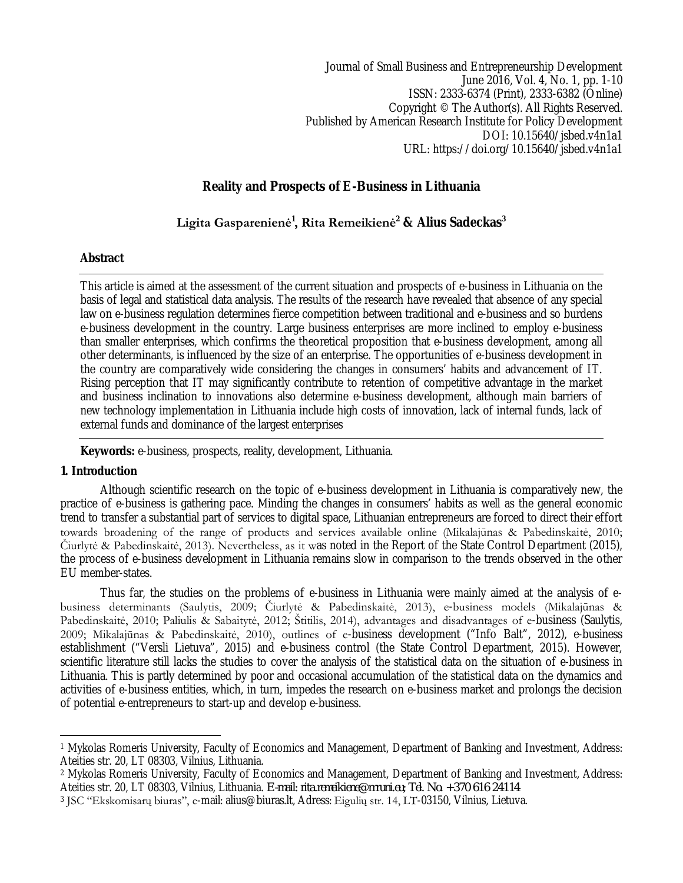Journal of Small Business and Entrepreneurship Development June 2016, Vol. 4, No. 1, pp. 1-10 ISSN: 2333-6374 (Print), 2333-6382 (Online) Copyright © The Author(s). All Rights Reserved. Published by American Research Institute for Policy Development DOI: 10.15640/jsbed.v4n1a1 URL: https://doi.org/10.15640/jsbed.v4n1a1

# **Reality and Prospects of E-Business in Lithuania**

# **Ligita Gasparenienė<sup>1</sup> , Rita Remeikienė<sup>2</sup> & Alius Sadeckas<sup>3</sup>**

### **Abstract**

This article is aimed at the assessment of the current situation and prospects of e-business in Lithuania on the basis of legal and statistical data analysis. The results of the research have revealed that absence of any special law on e-business regulation determines fierce competition between traditional and e-business and so burdens e-business development in the country. Large business enterprises are more inclined to employ e-business than smaller enterprises, which confirms the theoretical proposition that e-business development, among all other determinants, is influenced by the size of an enterprise. The opportunities of e-business development in the country are comparatively wide considering the changes in consumers' habits and advancement of IT. Rising perception that IT may significantly contribute to retention of competitive advantage in the market and business inclination to innovations also determine e-business development, although main barriers of new technology implementation in Lithuania include high costs of innovation, lack of internal funds, lack of external funds and dominance of the largest enterprises

**Keywords:** e-business, prospects, reality, development, Lithuania.

# **1. Introduction**

Although scientific research on the topic of e-business development in Lithuania is comparatively new, the practice of e-business is gathering pace. Minding the changes in consumers' habits as well as the general economic trend to transfer a substantial part of services to digital space, Lithuanian entrepreneurs are forced to direct their effort towards broadening of the range of products and services available online (Mikalajūnas & Pabedinskaitė, 2010; Čiurlytė & Pabedinskaitė, 2013). Nevertheless, as it was noted in the Report of the State Control Department (2015), the process of e-business development in Lithuania remains slow in comparison to the trends observed in the other EU member-states.

Thus far, the studies on the problems of e-business in Lithuania were mainly aimed at the analysis of ebusiness determinants (Saulytis, 2009; Čiurlytė & Pabedinskaitė, 2013), e-business models (Mikalajūnas & Pabedinskaitė, 2010; Paliulis & Sabaitytė, 2012; Štitilis, 2014), advantages and disadvantages of e-business (Saulytis, 2009; Mikalajūnas & Pabedinskaitė, 2010), outlines of e-business development ("Info Balt", 2012), e-business establishment ("Versli Lietuva", 2015) and e-business control (the State Control Department, 2015). However, scientific literature still lacks the studies to cover the analysis of the statistical data on the situation of e-business in Lithuania. This is partly determined by poor and occasional accumulation of the statistical data on the dynamics and activities of e-business entities, which, in turn, impedes the research on e-business market and prolongs the decision of potential e-entrepreneurs to start-up and develop e-business.

 $\overline{\phantom{a}}$ <sup>1</sup> Mykolas Romeris University, Faculty of Economics and Management, Department of Banking and Investment, Address: Ateities str. 20, LT 08303, Vilnius, Lithuania.

<sup>2</sup> Mykolas Romeris University, Faculty of Economics and Management, Department of Banking and Investment, Address: Ateities str. 20, LT 08303, Vilnius, Lithuania. *E-mail: rita.remeikiene@mruni.eu; Tel. No. +370 616 24114*

<sup>3</sup> JSC "Ekskomisarų biuras", e-mail: alius@biuras.lt, Adress: Eigulių str. 14, LT-03150, Vilnius, Lietuva.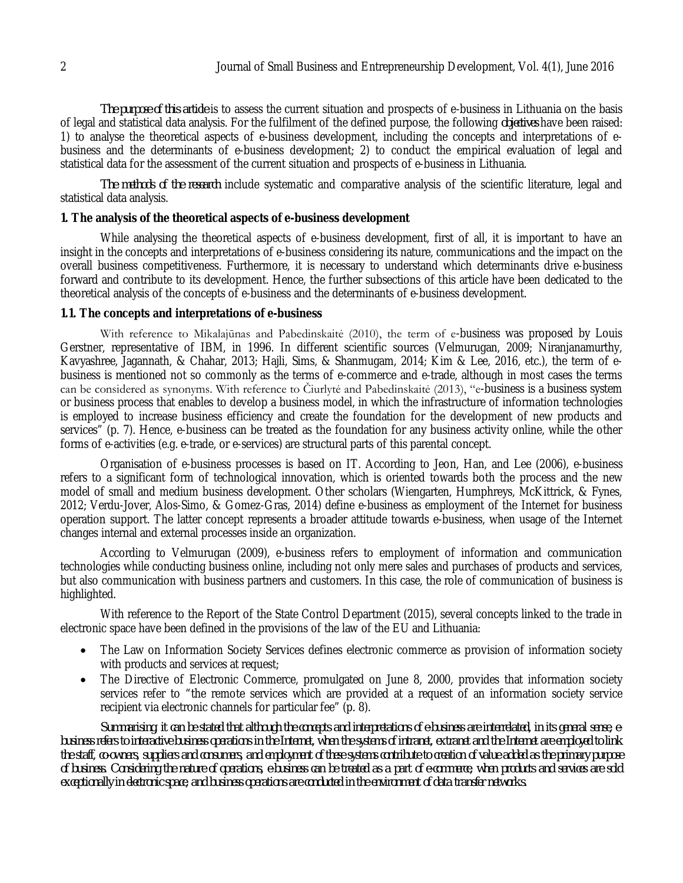*The purpose of this article* is to assess the current situation and prospects of e-business in Lithuania on the basis of legal and statistical data analysis. For the fulfilment of the defined purpose, the following *objectives* have been raised: 1) to analyse the theoretical aspects of e-business development, including the concepts and interpretations of ebusiness and the determinants of e-business development; 2) to conduct the empirical evaluation of legal and statistical data for the assessment of the current situation and prospects of e-business in Lithuania.

*The methods of the research* include systematic and comparative analysis of the scientific literature, legal and statistical data analysis.

#### **1. The analysis of the theoretical aspects of e-business development**

While analysing the theoretical aspects of e-business development, first of all, it is important to have an insight in the concepts and interpretations of e-business considering its nature, communications and the impact on the overall business competitiveness. Furthermore, it is necessary to understand which determinants drive e-business forward and contribute to its development. Hence, the further subsections of this article have been dedicated to the theoretical analysis of the concepts of e-business and the determinants of e-business development.

#### **1.1. The concepts and interpretations of e-business**

With reference to Mikalajūnas and Pabedinskaitė (2010), the term of e-business was proposed by Louis Gerstner, representative of IBM, in 1996. In different scientific sources (Velmurugan, 2009; Niranjanamurthy, Kavyashree, Jagannath, & Chahar, 2013; Hajli, Sims, & Shanmugam, 2014; Kim & Lee, 2016, etc.), the term of ebusiness is mentioned not so commonly as the terms of e-commerce and e-trade, although in most cases the terms can be considered as synonyms. With reference to Čiurlytė and Pabedinskaitė (2013), "e-business is a business system or business process that enables to develop a business model, in which the infrastructure of information technologies is employed to increase business efficiency and create the foundation for the development of new products and services" (p. 7). Hence, e-business can be treated as the foundation for any business activity online, while the other forms of e-activities (e.g. e-trade, or e-services) are structural parts of this parental concept.

Organisation of e-business processes is based on IT. According to Jeon, Han, and Lee (2006), e-business refers to a significant form of technological innovation, which is oriented towards both the process and the new model of small and medium business development. Other scholars (Wiengarten, Humphreys, McKittrick, & Fynes, 2012; Verdu-Jover, Alos-Simo, & Gomez-Gras, 2014) define e-business as employment of the Internet for business operation support. The latter concept represents a broader attitude towards e-business, when usage of the Internet changes internal and external processes inside an organization.

According to Velmurugan (2009), e-business refers to employment of information and communication technologies while conducting business online, including not only mere sales and purchases of products and services, but also communication with business partners and customers. In this case, the role of communication of business is highlighted.

With reference to the Report of the State Control Department (2015), several concepts linked to the trade in electronic space have been defined in the provisions of the law of the EU and Lithuania:

- The Law on Information Society Services defines electronic commerce as provision of information society with products and services at request;
- The Directive of Electronic Commerce, promulgated on June 8, 2000, provides that information society services refer to "the remote services which are provided at a request of an information society service recipient via electronic channels for particular fee" (p. 8).

*Summarising, it can be stated that although the concepts and interpretations of e-business are interrelated, in its general sense, ebusiness refers to interactive business operations in the Internet, when the systems of intranet, extranet and the Internet are employed to link the staff, co-owners, suppliers and consumers, and employment of these systems contribute to creation of value added as the primary purpose of business. Considering the nature of operations, e-business can be treated as a part of e-commerce, when products and services are sold exceptionally in electronic space, and business operations are conducted in the environment of data transfer networks.*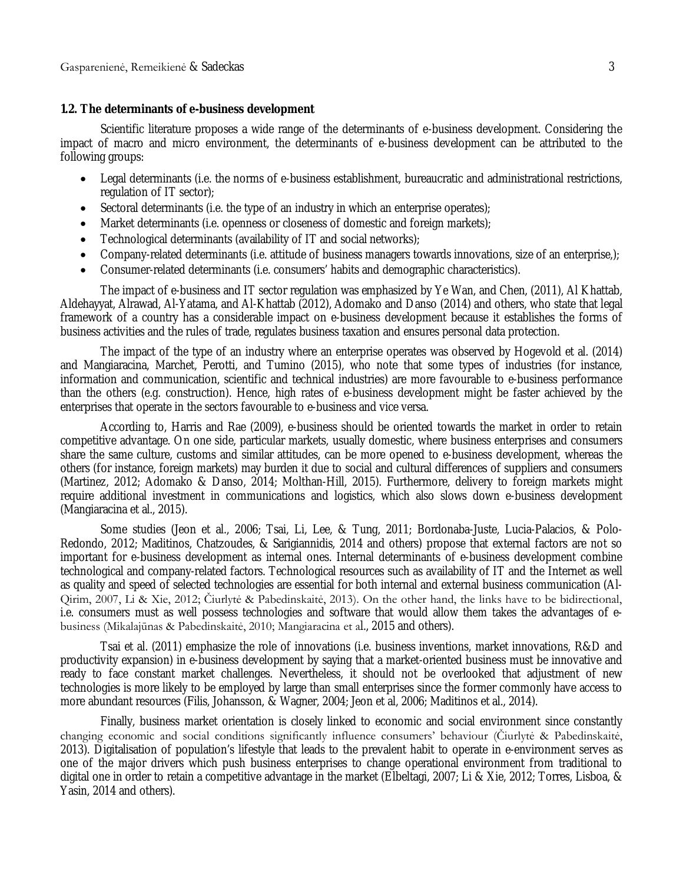#### **1.2. The determinants of e-business development**

Scientific literature proposes a wide range of the determinants of e-business development. Considering the impact of macro and micro environment, the determinants of e-business development can be attributed to the following groups:

- Legal determinants (i.e. the norms of e-business establishment, bureaucratic and administrational restrictions, regulation of IT sector);
- Sectoral determinants (i.e. the type of an industry in which an enterprise operates);
- Market determinants (i.e. openness or closeness of domestic and foreign markets);
- Technological determinants (availability of IT and social networks);
- Company-related determinants (i.e. attitude of business managers towards innovations, size of an enterprise,);
- Consumer-related determinants (i.e. consumers' habits and demographic characteristics).

The impact of e-business and IT sector regulation was emphasized by Ye Wan, and Chen, (2011), Al Khattab, Aldehayyat, Alrawad, Al-Yatama, and Al-Khattab (2012), Adomako and Danso (2014) and others, who state that legal framework of a country has a considerable impact on e-business development because it establishes the forms of business activities and the rules of trade, regulates business taxation and ensures personal data protection.

The impact of the type of an industry where an enterprise operates was observed by Hogevold et al. (2014) and Mangiaracina, Marchet, Perotti, and Tumino (2015), who note that some types of industries (for instance, information and communication, scientific and technical industries) are more favourable to e-business performance than the others (e.g. construction). Hence, high rates of e-business development might be faster achieved by the enterprises that operate in the sectors favourable to e-business and vice versa.

According to, Harris and Rae (2009), e-business should be oriented towards the market in order to retain competitive advantage. On one side, particular markets, usually domestic, where business enterprises and consumers share the same culture, customs and similar attitudes, can be more opened to e-business development, whereas the others (for instance, foreign markets) may burden it due to social and cultural differences of suppliers and consumers (Martinez, 2012; Adomako & Danso, 2014; Molthan-Hill, 2015). Furthermore, delivery to foreign markets might require additional investment in communications and logistics, which also slows down e-business development (Mangiaracina et al., 2015).

Some studies (Jeon et al., 2006; Tsai, Li, Lee, & Tung, 2011; Bordonaba-Juste, Lucia-Palacios, & Polo-Redondo, 2012; Maditinos, Chatzoudes, & Sarigiannidis, 2014 and others) propose that external factors are not so important for e-business development as internal ones. Internal determinants of e-business development combine technological and company-related factors. Technological resources such as availability of IT and the Internet as well as quality and speed of selected technologies are essential for both internal and external business communication (Al-Qirim, 2007, Li & Xie, 2012; Čiurlytė & Pabedinskaitė, 2013). On the other hand, the links have to be bidirectional, i.e. consumers must as well possess technologies and software that would allow them takes the advantages of ebusiness (Mikalajūnas & Pabedinskaitė, 2010; Mangiaracina et al., 2015 and others).

Tsai et al. (2011) emphasize the role of innovations (i.e. business inventions, market innovations, R&D and productivity expansion) in e-business development by saying that a market-oriented business must be innovative and ready to face constant market challenges. Nevertheless, it should not be overlooked that adjustment of new technologies is more likely to be employed by large than small enterprises since the former commonly have access to more abundant resources (Filis, Johansson, & Wagner, 2004; Jeon et al, 2006; Maditinos et al., 2014).

Finally, business market orientation is closely linked to economic and social environment since constantly changing economic and social conditions significantly influence consumers' behaviour (Čiurlytė & Pabedinskaitė, 2013). Digitalisation of population's lifestyle that leads to the prevalent habit to operate in e-environment serves as one of the major drivers which push business enterprises to change operational environment from traditional to digital one in order to retain a competitive advantage in the market (Elbeltagi, 2007; Li & Xie, 2012; Torres, Lisboa, & Yasin, 2014 and others).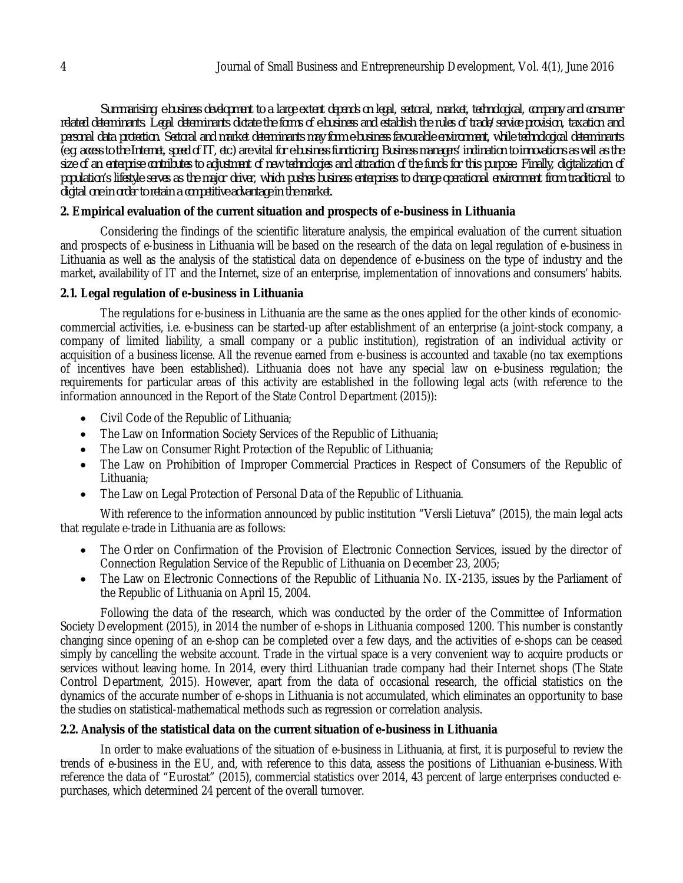*Summarising, e-business development to a large extent depends on legal, sectoral, market, technological, company and consumer related determinants. Legal determinants dictate the forms of e-business and establish the rules of trade/service provision, taxation and personal data protection. Sectoral and market determinants may form e-business favourable environment, while technological determinants (e.g. access to the Internet, speed of IT, etc.) are vital for e-business functioning. Business managers' inclination to innovations as well as the size of an enterprise contributes to adjustment of new technologies and attraction of the funds for this purpose. Finally, digitalization of population's lifestyle serves as the major driver, which pushes business enterprises to change operational environment from traditional to digital one in order to retain a competitive advantage in the market.*

# **2. Empirical evaluation of the current situation and prospects of e-business in Lithuania**

Considering the findings of the scientific literature analysis, the empirical evaluation of the current situation and prospects of e-business in Lithuania will be based on the research of the data on legal regulation of e-business in Lithuania as well as the analysis of the statistical data on dependence of e-business on the type of industry and the market, availability of IT and the Internet, size of an enterprise, implementation of innovations and consumers' habits.

### **2.1. Legal regulation of e-business in Lithuania**

The regulations for e-business in Lithuania are the same as the ones applied for the other kinds of economiccommercial activities, i.e. e-business can be started-up after establishment of an enterprise (a joint-stock company, a company of limited liability, a small company or a public institution), registration of an individual activity or acquisition of a business license. All the revenue earned from e-business is accounted and taxable (no tax exemptions of incentives have been established). Lithuania does not have any special law on e-business regulation; the requirements for particular areas of this activity are established in the following legal acts (with reference to the information announced in the Report of the State Control Department (2015)):

- Civil Code of the Republic of Lithuania;
- The Law on Information Society Services of the Republic of Lithuania;
- The Law on Consumer Right Protection of the Republic of Lithuania;
- The Law on Prohibition of Improper Commercial Practices in Respect of Consumers of the Republic of Lithuania;
- The Law on Legal Protection of Personal Data of the Republic of Lithuania.

With reference to the information announced by public institution "Versli Lietuva" (2015), the main legal acts that regulate e-trade in Lithuania are as follows:

- The Order on Confirmation of the Provision of Electronic Connection Services, issued by the director of Connection Regulation Service of the Republic of Lithuania on December 23, 2005;
- The Law on Electronic Connections of the Republic of Lithuania No. IX-2135, issues by the Parliament of the Republic of Lithuania on April 15, 2004.

Following the data of the research, which was conducted by the order of the Committee of Information Society Development (2015), in 2014 the number of e-shops in Lithuania composed 1200. This number is constantly changing since opening of an e-shop can be completed over a few days, and the activities of e-shops can be ceased simply by cancelling the website account. Trade in the virtual space is a very convenient way to acquire products or services without leaving home. In 2014, every third Lithuanian trade company had their Internet shops (The State Control Department, 2015). However, apart from the data of occasional research, the official statistics on the dynamics of the accurate number of e-shops in Lithuania is not accumulated, which eliminates an opportunity to base the studies on statistical-mathematical methods such as regression or correlation analysis.

# **2.2. Analysis of the statistical data on the current situation of e-business in Lithuania**

In order to make evaluations of the situation of e-business in Lithuania, at first, it is purposeful to review the trends of e-business in the EU, and, with reference to this data, assess the positions of Lithuanian e-business. With reference the data of "Eurostat" (2015), commercial statistics over 2014, 43 percent of large enterprises conducted epurchases, which determined 24 percent of the overall turnover.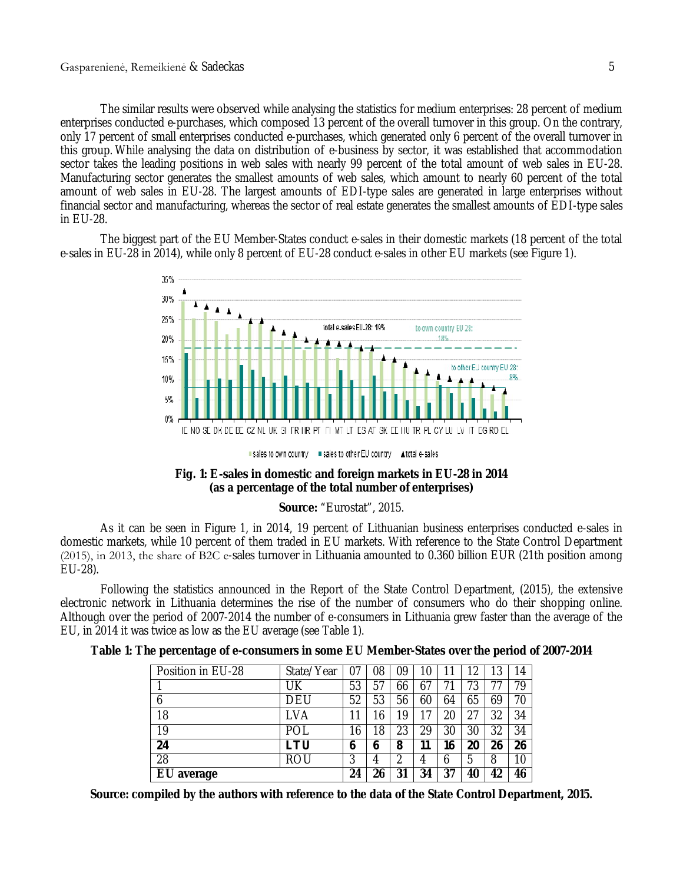The similar results were observed while analysing the statistics for medium enterprises: 28 percent of medium enterprises conducted e-purchases, which composed 13 percent of the overall turnover in this group. On the contrary, only 17 percent of small enterprises conducted e-purchases, which generated only 6 percent of the overall turnover in this group. While analysing the data on distribution of e-business by sector, it was established that accommodation sector takes the leading positions in web sales with nearly 99 percent of the total amount of web sales in EU-28. Manufacturing sector generates the smallest amounts of web sales, which amount to nearly 60 percent of the total amount of web sales in EU-28. The largest amounts of EDI-type sales are generated in large enterprises without financial sector and manufacturing, whereas the sector of real estate generates the smallest amounts of EDI-type sales in EU-28.

The biggest part of the EU Member-States conduct e-sales in their domestic markets (18 percent of the total e-sales in EU-28 in 2014), while only 8 percent of EU-28 conduct e-sales in other EU markets (see Figure 1).



sales to own country in sales to other EU country Atotal e-sales

#### **Fig. 1: E-sales in domestic and foreign markets in EU-28 in 2014 (as a percentage of the total number of enterprises)**

### **Source:** "Eurostat", 2015.

As it can be seen in Figure 1, in 2014, 19 percent of Lithuanian business enterprises conducted e-sales in domestic markets, while 10 percent of them traded in EU markets. With reference to the State Control Department (2015), in 2013, the share of B2С e-sales turnover in Lithuania amounted to 0.360 billion EUR (21th position among EU-28).

Following the statistics announced in the Report of the State Control Department, (2015), the extensive electronic network in Lithuania determines the rise of the number of consumers who do their shopping online. Although over the period of 2007-2014 the number of e-consumers in Lithuania grew faster than the average of the EU, in 2014 it was twice as low as the EU average (see Table 1).

| Position in EU-28 | State/Year | 07 | 08 | 09 | 10 |    | ◠  | 3  | 14 |
|-------------------|------------|----|----|----|----|----|----|----|----|
|                   | UΚ         | 53 | 57 | 66 | 67 |    | 73 |    | 79 |
| 6                 | DEU        | 52 | 53 | 56 | 60 | 64 | 65 | 69 | 70 |
| 18                | LVA        | 1  | 16 | 19 | 17 | 20 | 27 | 32 | 34 |
| 19                | POL        | 6  | 18 | 23 | 29 | 30 | 30 | 32 | 34 |
| 24                | LTU        | b  | 6  | 8  | 11 | 16 | 20 | 26 | 26 |
| 28                | rou        | 3  | 4  | າ  | 4  | 6  | 5  | 8  | 10 |
| EU average        |            | 24 | 26 | 31 | 34 | 37 | 40 | 42 | 46 |

**Source: compiled by the authors with reference to the data of the State Control Department, 2015.**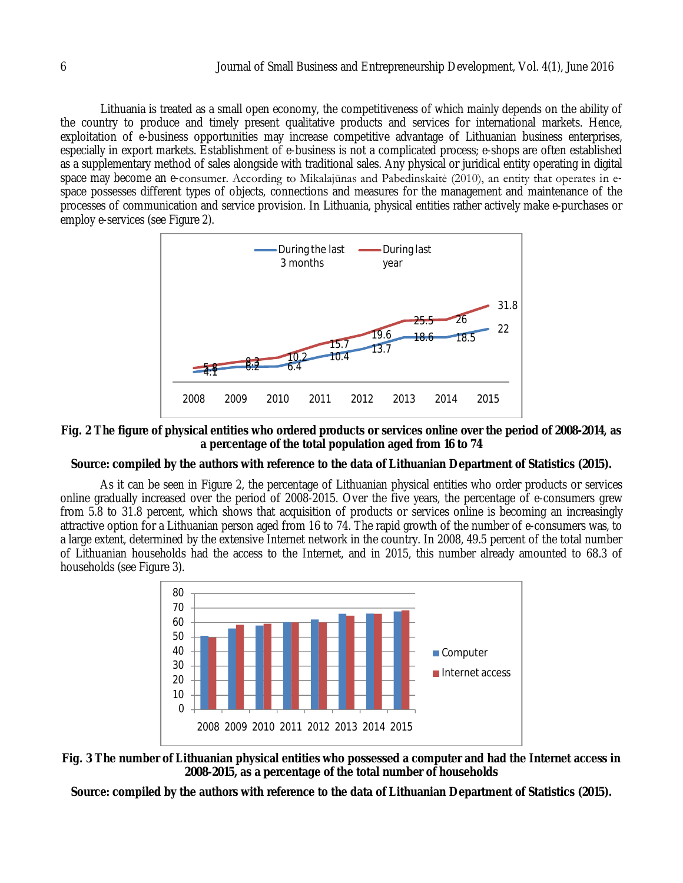Lithuania is treated as a small open economy, the competitiveness of which mainly depends on the ability of the country to produce and timely present qualitative products and services for international markets. Hence, exploitation of e-business opportunities may increase competitive advantage of Lithuanian business enterprises, especially in export markets. Establishment of e-business is not a complicated process; e-shops are often established as a supplementary method of sales alongside with traditional sales. Any physical or juridical entity operating in digital space may become an e-consumer. According to Mikalajūnas and Pabedinskaitė (2010), an entity that operates in espace possesses different types of objects, connections and measures for the management and maintenance of the processes of communication and service provision. In Lithuania, physical entities rather actively make e-purchases or employ e-services (see Figure 2).



**Fig. 2 The figure of physical entities who ordered products or services online over the period of 2008-2014, as a percentage of the total population aged from 16 to 74**

# **Source: compiled by the authors with reference to the data of Lithuanian Department of Statistics (2015).**

As it can be seen in Figure 2, the percentage of Lithuanian physical entities who order products or services online gradually increased over the period of 2008-2015. Over the five years, the percentage of e-consumers grew from 5.8 to 31.8 percent, which shows that acquisition of products or services online is becoming an increasingly attractive option for a Lithuanian person aged from 16 to 74. The rapid growth of the number of e-consumers was, to a large extent, determined by the extensive Internet network in the country. In 2008, 49.5 percent of the total number of Lithuanian households had the access to the Internet, and in 2015, this number already amounted to 68.3 of households (see Figure 3).





**Source: compiled by the authors with reference to the data of Lithuanian Department of Statistics (2015).**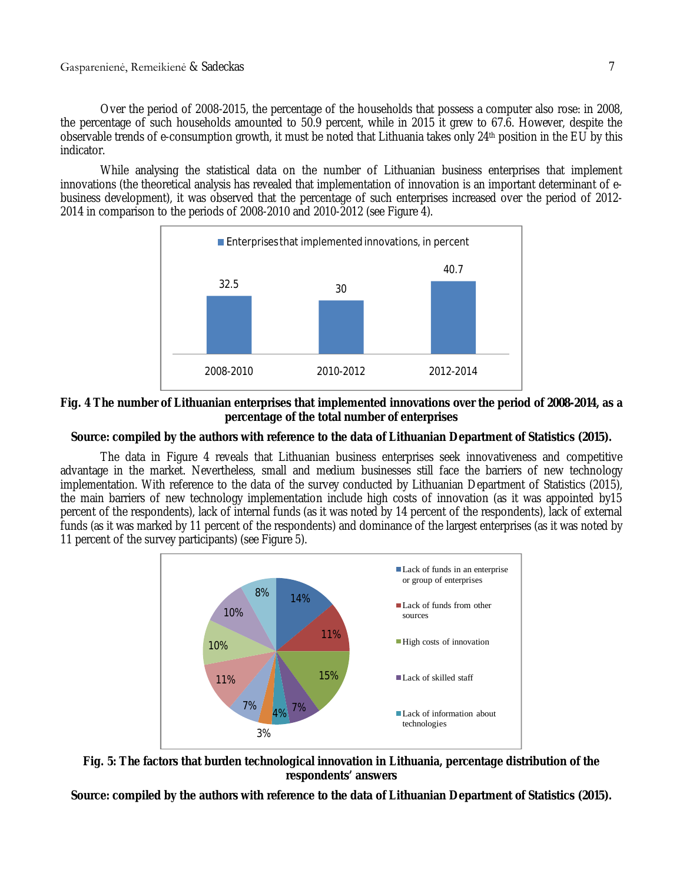Over the period of 2008-2015, the percentage of the households that possess a computer also rose: in 2008, the percentage of such households amounted to 50.9 percent, while in 2015 it grew to 67.6. However, despite the observable trends of e-consumption growth, it must be noted that Lithuania takes only 24th position in the EU by this indicator.

While analysing the statistical data on the number of Lithuanian business enterprises that implement innovations (the theoretical analysis has revealed that implementation of innovation is an important determinant of ebusiness development), it was observed that the percentage of such enterprises increased over the period of 2012- 2014 in comparison to the periods of 2008-2010 and 2010-2012 (see Figure 4).



### **Fig. 4 The number of Lithuanian enterprises that implemented innovations over the period of 2008-2014, as a percentage of the total number of enterprises**

### **Source: compiled by the authors with reference to the data of Lithuanian Department of Statistics (2015).**

The data in Figure 4 reveals that Lithuanian business enterprises seek innovativeness and competitive advantage in the market. Nevertheless, small and medium businesses still face the barriers of new technology implementation. With reference to the data of the survey conducted by Lithuanian Department of Statistics (2015), the main barriers of new technology implementation include high costs of innovation (as it was appointed by15 percent of the respondents), lack of internal funds (as it was noted by 14 percent of the respondents), lack of external funds (as it was marked by 11 percent of the respondents) and dominance of the largest enterprises (as it was noted by 11 percent of the survey participants) (see Figure 5).





**Source: compiled by the authors with reference to the data of Lithuanian Department of Statistics (2015).**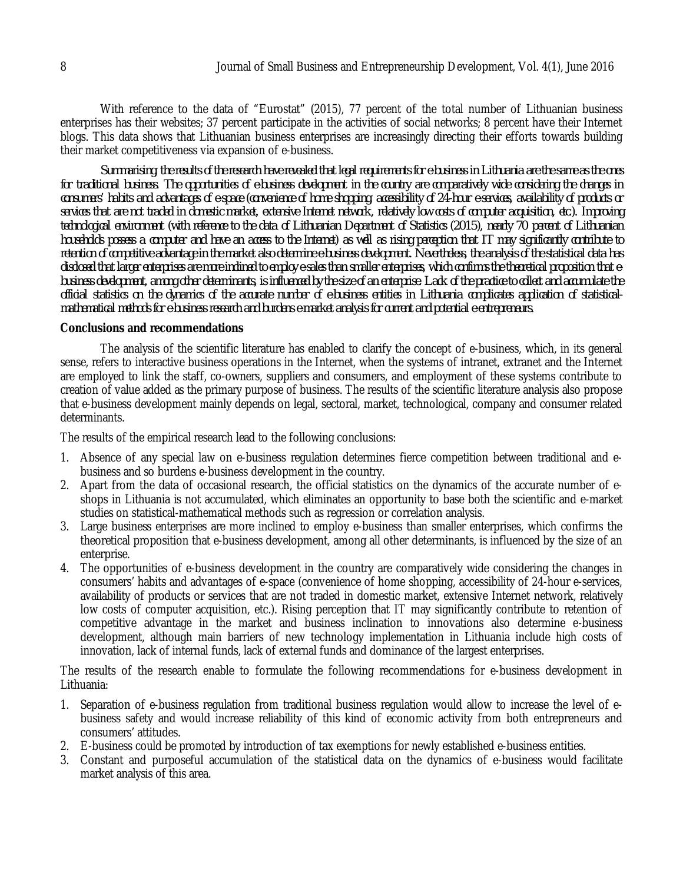With reference to the data of "Eurostat" (2015), 77 percent of the total number of Lithuanian business enterprises has their websites; 37 percent participate in the activities of social networks; 8 percent have their Internet blogs. This data shows that Lithuanian business enterprises are increasingly directing their efforts towards building their market competitiveness via expansion of e-business.

*Summarising, the results of the research have revealed that legal requirements for e-business in Lithuania are the same as the ones for traditional business. The opportunities of e-business development in the country are comparatively wide considering the changes in consumers' habits and advantages of e-space (convenience of home shopping, accessibility of 24-hour e-services, availability of products or services that are not traded in domestic market, extensive Internet network, relatively low costs of computer acquisition, etc.). Improving technological environment (with reference to the data of Lithuanian Department of Statistics (2015), nearly 70 percent of Lithuanian households possess a computer and have an access to the Internet) as well as rising perception that IT may significantly contribute to retention of competitive advantage in the market also determine e-business development. Nevertheless, the analysis of the statistical data has disclosed that larger enterprises are more inclined to employ e-sales than smaller enterprises, which confirms the theoretical proposition that ebusiness development, among other determinants, is influenced by the size of an enterprise. Lack of the practice to collect and accumulate the official statistics on the dynamics of the accurate number of e-business entities in Lithuania complicates application of statisticalmathematical methods for e-business research and burdens e-market analysis for current and potential e-entrepreneurs.*

### **Conclusions and recommendations**

The analysis of the scientific literature has enabled to clarify the concept of e-business, which, in its general sense, refers to interactive business operations in the Internet, when the systems of intranet, extranet and the Internet are employed to link the staff, co-owners, suppliers and consumers, and employment of these systems contribute to creation of value added as the primary purpose of business. The results of the scientific literature analysis also propose that e-business development mainly depends on legal, sectoral, market, technological, company and consumer related determinants.

The results of the empirical research lead to the following conclusions:

- 1. Absence of any special law on e-business regulation determines fierce competition between traditional and ebusiness and so burdens e-business development in the country.
- 2. Apart from the data of occasional research, the official statistics on the dynamics of the accurate number of eshops in Lithuania is not accumulated, which eliminates an opportunity to base both the scientific and e-market studies on statistical-mathematical methods such as regression or correlation analysis.
- 3. Large business enterprises are more inclined to employ e-business than smaller enterprises, which confirms the theoretical proposition that e-business development, among all other determinants, is influenced by the size of an enterprise.
- 4. The opportunities of e-business development in the country are comparatively wide considering the changes in consumers' habits and advantages of e-space (convenience of home shopping, accessibility of 24-hour e-services, availability of products or services that are not traded in domestic market, extensive Internet network, relatively low costs of computer acquisition, etc.). Rising perception that IT may significantly contribute to retention of competitive advantage in the market and business inclination to innovations also determine e-business development, although main barriers of new technology implementation in Lithuania include high costs of innovation, lack of internal funds, lack of external funds and dominance of the largest enterprises.

The results of the research enable to formulate the following recommendations for e-business development in Lithuania:

- 1. Separation of e-business regulation from traditional business regulation would allow to increase the level of ebusiness safety and would increase reliability of this kind of economic activity from both entrepreneurs and consumers' attitudes.
- 2. E-business could be promoted by introduction of tax exemptions for newly established e-business entities.
- 3. Constant and purposeful accumulation of the statistical data on the dynamics of e-business would facilitate market analysis of this area.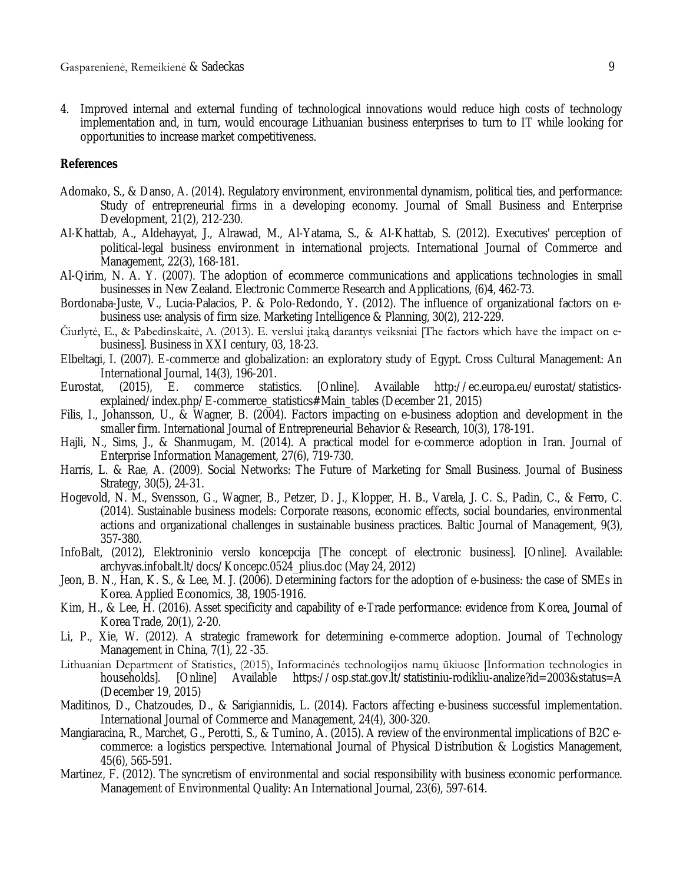4. Improved internal and external funding of technological innovations would reduce high costs of technology implementation and, in turn, would encourage Lithuanian business enterprises to turn to IT while looking for opportunities to increase market competitiveness.

#### **References**

- Adomako, S., & Danso, A. (2014). Regulatory environment, environmental dynamism, political ties, and performance: Study of entrepreneurial firms in a developing economy. Journal of Small Business and Enterprise Development, 21(2), 212-230.
- Al-Khattab, A., Aldehayyat, J., Alrawad, M., Al-Yatama, S., & Al-Khattab, S. (2012). Executives' perception of political‐legal business environment in international projects. International Journal of Commerce and Management, 22(3), 168-181.
- Al-Qirim, N. A. Y. (2007). The adoption of ecommerce communications and applications technologies in small businesses in New Zealand. Electronic Commerce Research and Applications, (6)4, 462-73.
- Bordonaba-Juste, V., Lucia-Palacios, P. & Polo-Redondo, Y. (2012). The influence of organizational factors on ebusiness use: analysis of firm size. Marketing Intelligence & Planning, 30(2), 212-229.
- Čiurlytė, E., & Pabedinskaitė, A. (2013). E. verslui įtaką darantys veiksniai [The factors which have the impact on ebusiness]. Business in XXI century, 03, 18-23.
- Elbeltagi, I. (2007). E‐commerce and globalization: an exploratory study of Egypt. Cross Cultural Management: An International Journal, 14(3), 196-201.<br>I, (2015), E. commerce statistics.
- Eurostat, (2015), E. commerce statistics. [Online]. Available http://ec.europa.eu/eurostat/statisticsexplained/index.php/E-commerce\_statistics#Main\_tables (December 21, 2015)
- Filis, I., Johansson, U., & Wagner, B. (2004). Factors impacting on e-business adoption and development in the smaller firm. International Journal of Entrepreneurial Behavior & Research, 10(3), 178-191.
- Hajli, N., Sims, J., & Shanmugam, M. (2014). A practical model for e-commerce adoption in Iran. Journal of Enterprise Information Management, 27(6), 719-730.
- Harris, L. & Rae, A. (2009). Social Networks: The Future of Marketing for Small Business. Journal of Business Strategy, 30(5), 24-31.
- Hogevold, N. M., Svensson, G., Wagner, B., Petzer, D. J., Klopper, H. B., Varela, J. C. S., Padin, C., & Ferro, C. (2014). Sustainable business models: Corporate reasons, economic effects, social boundaries, environmental actions and organizational challenges in sustainable business practices. Baltic Journal of Management, 9(3), 357-380.
- InfoBalt, (2012), Elektroninio verslo koncepcija [The concept of electronic business]. [Online]. Available: archyvas.infobalt.lt/docs/Koncepc.0524\_plius.doc (May 24, 2012)
- Jeon, B. N., Han, K. S., & Lee, M. J. (2006). Determining factors for the adoption of e-business: the case of SMEs in Korea. Applied Economics, 38, 1905-1916.
- Kim, H., & Lee, H. (2016). Asset specificity and capability of e-Trade performance: evidence from Korea, Journal of Korea Trade, 20(1), 2-20.
- Li, P., Xie, W. (2012). A strategic framework for determining e-commerce adoption. Journal of Technology Management in China, 7(1), 22 -35.
- Lithuanian Department of Statistics, (2015), Informacinės technologijos namų ūkiuose [Information technologies in households]. [Online] Available https://osp.stat.gov.lt/statistiniu-rodikliu-analize?id=2003&status=A (December 19, 2015)
- Maditinos, D., Chatzoudes, D., & Sarigiannidis, L. (2014). Factors affecting e-business successful implementation. International Journal of Commerce and Management, 24(4), 300-320.
- Mangiaracina, R., Marchet, G., Perotti, S., & Tumino, A. (2015). A review of the environmental implications of B2C ecommerce: a logistics perspective. International Journal of Physical Distribution & Logistics Management, 45(6), 565-591.
- Martinez, F. (2012). The syncretism of environmental and social responsibility with business economic performance. Management of Environmental Quality: An International Journal, 23(6), 597-614.